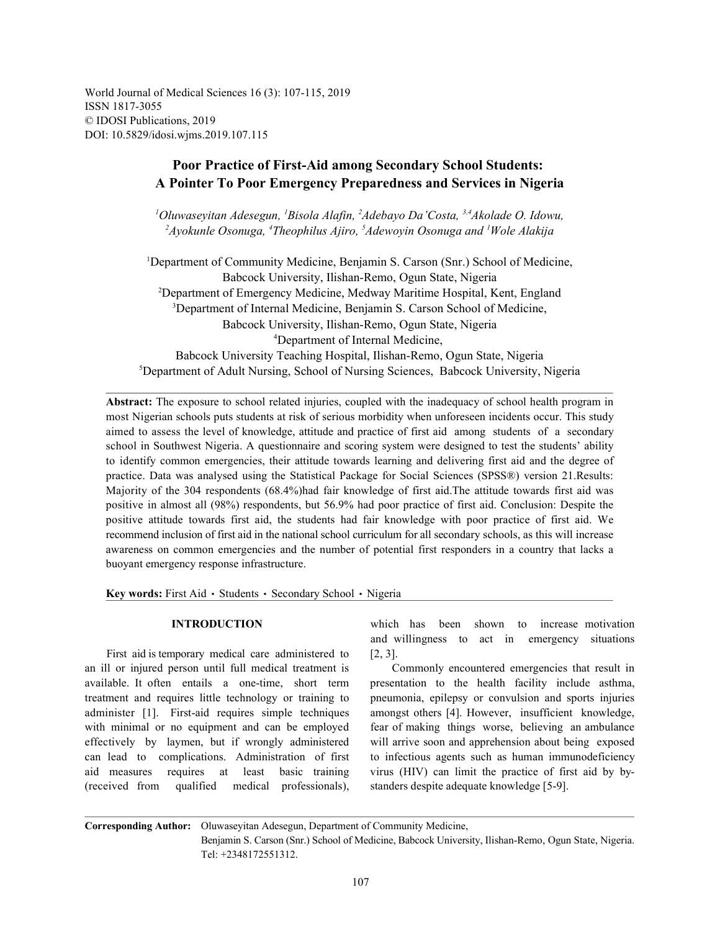World Journal of Medical Sciences 16 (3): 107-115, 2019 ISSN 1817-3055 © IDOSI Publications, 2019 DOI: 10.5829/idosi.wjms.2019.107.115

# **Poor Practice of First-Aid among Secondary School Students: A Pointer To Poor Emergency Preparedness and Services in Nigeria**

<sup>1</sup>Oluwaseyitan Adesegun, <sup>1</sup>Bisola Alafin, <sup>2</sup>Adebayo Da'Costa, <sup>3,4</sup>Akolade O. Idowu, <sup>2</sup> Ayokunle Osonuga, <sup>4</sup>Theophilus Ajiro, <sup>5</sup> Adewoyin Osonuga and <sup>1</sup> Wole Alakija

<sup>1</sup>Department of Community Medicine, Benjamin S. Carson (Snr.) School of Medicine, Babcock University, Ilishan-Remo, Ogun State, Nigeria <sup>2</sup>Department of Emergency Medicine, Medway Maritime Hospital, Kent, England <sup>3</sup>Department of Internal Medicine, Benjamin S. Carson School of Medicine, Babcock University, Ilishan-Remo, Ogun State, Nigeria Department of Internal Medicine, 4 Babcock University Teaching Hospital, Ilishan-Remo, Ogun State, Nigeria  ${}^{5}$ Department of Adult Nursing, School of Nursing Sciences, Babcock University, Nigeria

**Abstract:** The exposure to school related injuries, coupled with the inadequacy of school health program in most Nigerian schools puts students at risk of serious morbidity when unforeseen incidents occur. This study aimed to assess the level of knowledge, attitude and practice of first aid among students of a secondary school in Southwest Nigeria. A questionnaire and scoring system were designed to test the students' ability to identify common emergencies, their attitude towards learning and delivering first aid and the degree of practice. Data was analysed using the Statistical Package for Social Sciences (SPSS®) version 21.Results: Majority of the 304 respondents (68.4%)had fair knowledge of first aid.The attitude towards first aid was positive in almost all (98%) respondents, but 56.9% had poor practice of first aid. Conclusion: Despite the positive attitude towards first aid, the students had fair knowledge with poor practice of first aid. We recommend inclusion of first aid in the national school curriculum for all secondary schools, as this will increase awareness on common emergencies and the number of potential first responders in a country that lacks a buoyant emergency response infrastructure.

Key words: First Aid · Students · Secondary School · Nigeria

First aid is temporary medical care administered to [2, 3]. an ill or injured person until full medical treatment is Commonly encountered emergencies that result in available. It often entails a one-time, short term presentation to the health facility include asthma, treatment and requires little technology or training to pneumonia, epilepsy or convulsion and sports injuries administer [1]. First-aid requires simple techniques amongst others [4]. However, insufficient knowledge, with minimal or no equipment and can be employed fear of making things worse, believing an ambulance effectively by laymen, but if wrongly administered will arrive soon and apprehension about being exposed can lead to complications. Administration of first to infectious agents such as human immunodeficiency aid measures requires at least basic training virus (HIV) can limit the practice of first aid by by- (received from qualified medical professionals), standers despite adequate knowledge [5-9].

**INTRODUCTION** which has been shown to increase motivation and willingness to act in emergency situations

**Corresponding Author:** Oluwaseyitan Adesegun, Department of Community Medicine,

Benjamin S. Carson (Snr.) School of Medicine, Babcock University, Ilishan-Remo, Ogun State, Nigeria. Tel: +2348172551312.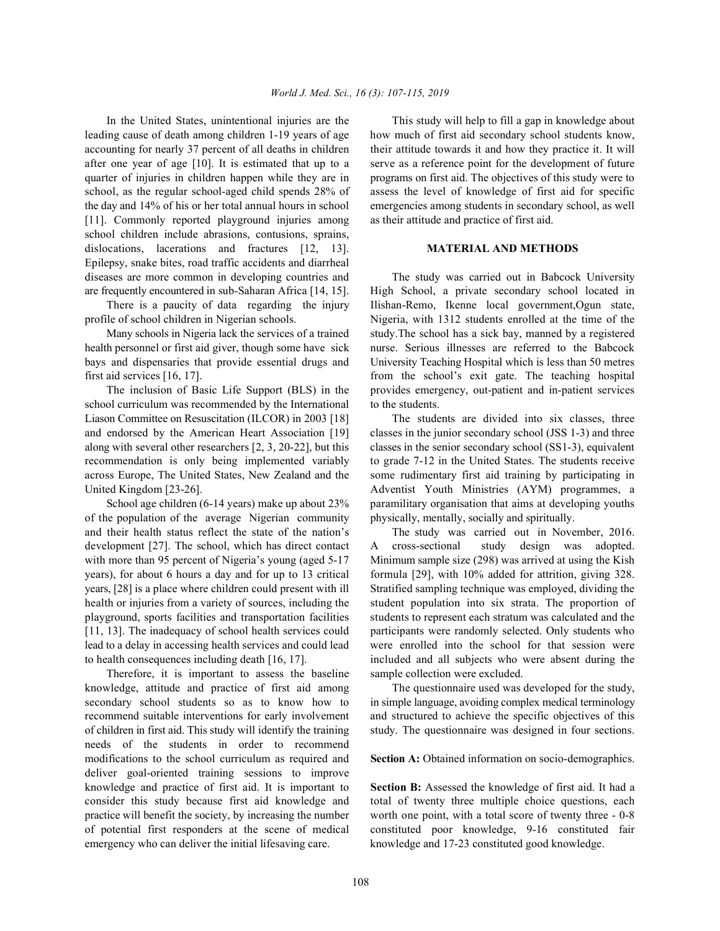leading cause of death among children 1-19 years of age how much of first aid secondary school students know, accounting for nearly 37 percent of all deaths in children their attitude towards it and how they practice it. It will after one year of age [10]. It is estimated that up to a serve as a reference point for the development of future quarter of injuries in children happen while they are in programs on first aid. The objectives of this study were to school, as the regular school-aged child spends 28% of assess the level of knowledge of first aid for specific the day and 14% of his or her total annual hours in school emergencies among students in secondary school, as well [11]. Commonly reported playground injuries among as their attitude and practice of first aid. school children include abrasions, contusions, sprains, dislocations, lacerations and fractures [12, 13]. **MATERIAL AND METHODS** Epilepsy, snake bites, road traffic accidents and diarrheal diseases are more common in developing countries and The study was carried out in Babcock University are frequently encountered in sub-Saharan Africa [14, 15]. High School, a private secondary school located in

health personnel or first aid giver, though some have sick nurse. Serious illnesses are referred to the Babcock bays and dispensaries that provide essential drugs and University Teaching Hospital which is less than 50 metres first aid services [16, 17]. from the school's exit gate. The teaching hospital

school curriculum was recommended by the International to the students. Liason Committee on Resuscitation (ILCOR) in 2003 [18] The students are divided into six classes, three and endorsed by the American Heart Association [19] classes in the junior secondary school (JSS 1-3) and three along with several other researchers [2, 3, 20-22], but this classes in the senior secondary school (SS1-3), equivalent recommendation is only being implemented variably to grade 7-12 in the United States. The students receive across Europe, The United States, New Zealand and the some rudimentary first aid training by participating in United Kingdom [23-26]. Adventist Youth Ministries (AYM) programmes, a

of the population of the average Nigerian community physically, mentally, socially and spiritually. and their health status reflect the state of the nation's The study was carried out in November, 2016. development [27]. The school, which has direct contact A cross-sectional study design was adopted. with more than 95 percent of Nigeria's young (aged 5-17 Minimum sample size (298) was arrived at using the Kish years), for about 6 hours a day and for up to 13 critical formula [29], with 10% added for attrition, giving 328. years, [28] is a place where children could present with ill Stratified sampling technique was employed, dividing the health or injuries from a variety of sources, including the student population into six strata. The proportion of playground, sports facilities and transportation facilities students to represent each stratum was calculated and the [11, 13]. The inadequacy of school health services could participants were randomly selected. Only students who lead to a delay in accessing health services and could lead were enrolled into the school for that session were to health consequences including death [16, 17]. included and all subjects who were absent during the

Therefore, it is important to assess the baseline sample collection were excluded. knowledge, attitude and practice of first aid among The questionnaire used was developed for the study, secondary school students so as to know how to in simple language, avoiding complex medical terminology recommend suitable interventions for early involvement and structured to achieve the specific objectives of this of children in first aid. This study will identify the training study. The questionnaire was designed in four sections. needs of the students in order to recommend modifications to the school curriculum as required and **Section A:** Obtained information on socio-demographics. deliver goal-oriented training sessions to improve knowledge and practice of first aid. It is important to **Section B:** Assessed the knowledge of first aid. It had a consider this study because first aid knowledge and total of twenty three multiple choice questions, each practice will benefit the society, by increasing the number worth one point, with a total score of twenty three - 0-8 of potential first responders at the scene of medical constituted poor knowledge, 9-16 constituted fair emergency who can deliver the initial lifesaving care. knowledge and 17-23 constituted good knowledge.

In the United States, unintentional injuries are the This study will help to fill a gap in knowledge about

There is a paucity of data regarding the injury Ilishan-Remo, Ikenne local government,Ogun state, profile of school children in Nigerian schools. Nigeria, with 1312 students enrolled at the time of the Many schools in Nigeria lack the services of a trained study. The school has a sick bay, manned by a registered The inclusion of Basic Life Support (BLS) in the provides emergency, out-patient and in-patient services

School age children (6-14 years) make up about 23% paramilitary organisation that aims at developing youths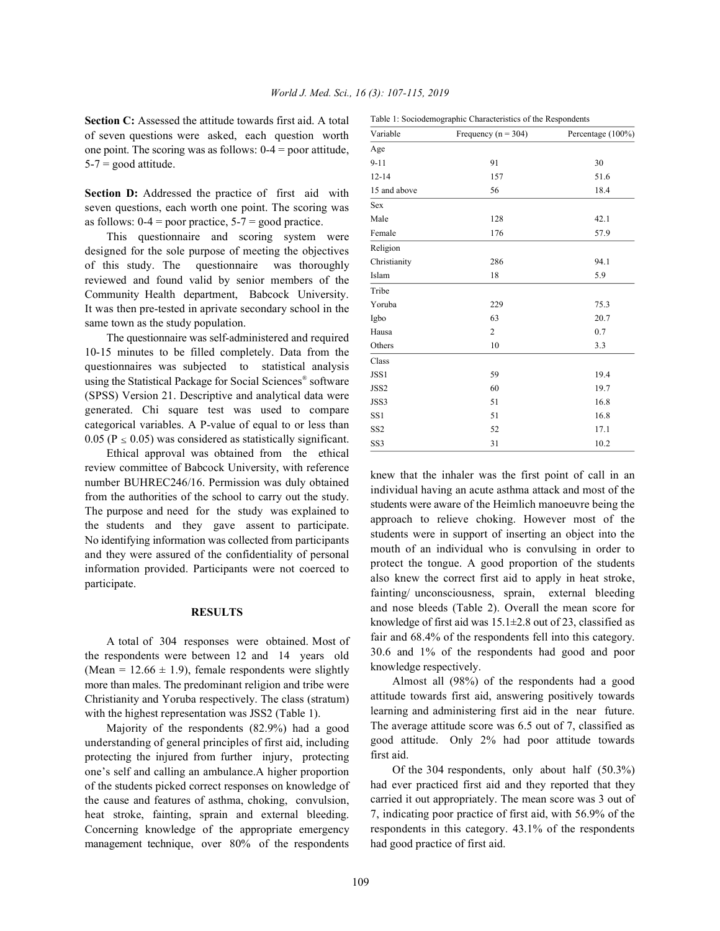**Section C:** Assessed the attitude towards first aid. A total of seven questions were asked, each question worth one point. The scoring was as follows:  $0-4 =$  poor attitude,  $5-7$  = good attitude.

**Section D:** Addressed the practice of first aid with seven questions, each worth one point. The scoring was as follows:  $0-4 =$  poor practice,  $5-7 =$  good practice.

This questionnaire and scoring system were designed for the sole purpose of meeting the objectives of this study. The questionnaire was thoroughly reviewed and found valid by senior members of the Community Health department, Babcock University. It was then pre-tested in aprivate secondary school in the same town as the study population.

The questionnaire was self-administered and required 10-15 minutes to be filled completely. Data from the questionnaires was subjected to statistical analysis using the Statistical Package for Social Sciences<sup>®</sup> software (SPSS) Version 21. Descriptive and analytical data were generated. Chi square test was used to compare categorical variables. A P-value of equal to or less than 0.05 ( $P \le 0.05$ ) was considered as statistically significant.

Ethical approval was obtained from the ethical review committee of Babcock University, with reference number BUHREC246/16. Permission was duly obtained from the authorities of the school to carry out the study. The purpose and need for the study was explained to the students and they gave assent to participate. No identifying information was collected from participants and they were assured of the confidentiality of personal information provided. Participants were not coerced to participate.

### **RESULTS**

A total of 304 responses were obtained. Most of the respondents were between 12 and 14 years old (Mean =  $12.66 \pm 1.9$ ), female respondents were slightly more than males. The predominant religion and tribe were Christianity and Yoruba respectively. The class (stratum) with the highest representation was JSS2 (Table 1).

Majority of the respondents (82.9%) had a good understanding of general principles of first aid, including protecting the injured from further injury, protecting one's self and calling an ambulance.A higher proportion of the students picked correct responses on knowledge of the cause and features of asthma, choking, convulsion, heat stroke, fainting, sprain and external bleeding. Concerning knowledge of the appropriate emergency management technique, over 80% of the respondents

| Variable        | Frequency ( $n = 304$ ) | Percentage (100%) |
|-----------------|-------------------------|-------------------|
| Age             |                         |                   |
| $9 - 11$        | 91                      | 30                |
| $12 - 14$       | 157                     | 51.6              |
| 15 and above    | 56                      | 18.4              |
| Sex             |                         |                   |
| Male            | 128                     | 42.1              |
| Female          | 176                     | 57.9              |
| Religion        |                         |                   |
| Christianity    | 286                     | 94.1              |
| Islam           | 18                      | 5.9               |
| Tribe           |                         |                   |
| Yoruba          | 229                     | 75.3              |
| Igbo            | 63                      | 20.7              |
| Hausa           | $\overline{2}$          | 0.7               |
| Others          | 10                      | 3.3               |
| Class           |                         |                   |
| JSS1            | 59                      | 19.4              |
| JSS2            | 60                      | 19.7              |
| JSS3            | 51                      | 16.8              |
| SS <sub>1</sub> | 51                      | 16.8              |
| SS <sub>2</sub> | 52                      | 17.1              |
| SS3             | 31                      | 10.2              |

Table 1: Sociodemographic Characteristics of the Respondents

knew that the inhaler was the first point of call in an individual having an acute asthma attack and most of the students were aware of the Heimlich manoeuvre being the approach to relieve choking. However most of the students were in support of inserting an object into the mouth of an individual who is convulsing in order to protect the tongue. A good proportion of the students also knew the correct first aid to apply in heat stroke, fainting/ unconsciousness, sprain, external bleeding and nose bleeds (Table 2). Overall the mean score for knowledge of first aid was  $15.1 \pm 2.8$  out of 23, classified as fair and 68.4% of the respondents fell into this category. 30.6 and 1% of the respondents had good and poor knowledge respectively.

Almost all (98%) of the respondents had a good attitude towards first aid, answering positively towards learning and administering first aid in the near future. The average attitude score was 6.5 out of 7, classified as good attitude. Only 2% had poor attitude towards first aid.

Of the 304 respondents, only about half (50.3%) had ever practiced first aid and they reported that they carried it out appropriately. The mean score was 3 out of 7, indicating poor practice of first aid, with 56.9% of the respondents in this category. 43.1% of the respondents had good practice of first aid.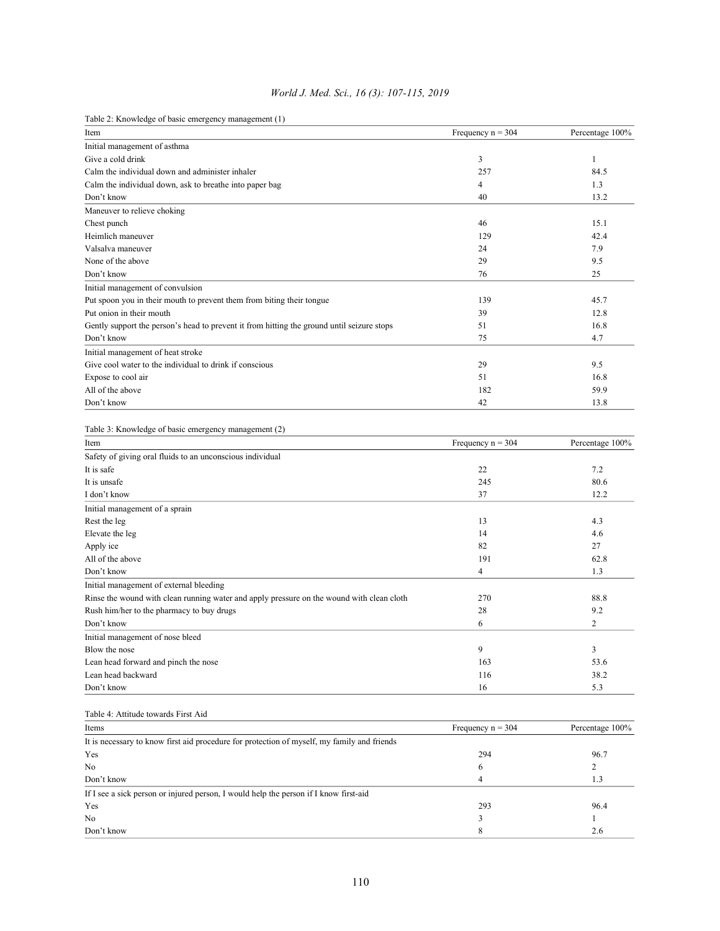Table 2: Knowledge of basic emergency management (1)

| Item                                                                                        | Frequency $n = 304$ | Percentage 100% |
|---------------------------------------------------------------------------------------------|---------------------|-----------------|
| Initial management of asthma                                                                |                     |                 |
| Give a cold drink                                                                           | 3                   | 1               |
| Calm the individual down and administer inhaler                                             | 257                 | 84.5            |
| Calm the individual down, ask to breathe into paper bag                                     | 4                   | 1.3             |
| Don't know                                                                                  | 40                  | 13.2            |
| Maneuver to relieve choking                                                                 |                     |                 |
| Chest punch                                                                                 | 46                  | 15.1            |
| Heimlich maneuver                                                                           | 129                 | 42.4            |
| Valsalva maneuver                                                                           | 24                  | 7.9             |
| None of the above                                                                           | 29                  | 9.5             |
| Don't know                                                                                  | 76                  | 25              |
|                                                                                             |                     |                 |
| Initial management of convulsion                                                            |                     |                 |
| Put spoon you in their mouth to prevent them from biting their tongue                       | 139                 | 45.7            |
| Put onion in their mouth                                                                    | 39                  | 12.8            |
| Gently support the person's head to prevent it from hitting the ground until seizure stops  | 51                  | 16.8            |
| Don't know                                                                                  | 75                  | 4.7             |
| Initial management of heat stroke                                                           |                     |                 |
| Give cool water to the individual to drink if conscious                                     | 29                  | 9.5             |
| Expose to cool air                                                                          | 51                  | 16.8            |
| All of the above                                                                            | 182                 | 59.9            |
| Don't know                                                                                  | 42                  | 13.8            |
|                                                                                             |                     |                 |
| Table 3: Knowledge of basic emergency management (2)                                        |                     |                 |
| Item                                                                                        | Frequency $n = 304$ | Percentage 100% |
| Safety of giving oral fluids to an unconscious individual                                   |                     |                 |
| It is safe                                                                                  | 22                  | 7.2             |
|                                                                                             |                     |                 |
| It is unsafe                                                                                | 245                 | 80.6            |
| I don't know                                                                                | 37                  | 12.2            |
| Initial management of a sprain                                                              |                     |                 |
| Rest the leg                                                                                | 13                  | 4.3             |
| Elevate the leg                                                                             | 14                  | 4.6             |
| Apply ice                                                                                   | 82                  | 27              |
| All of the above                                                                            | 191                 | 62.8            |
| Don't know                                                                                  | $\overline{4}$      | 1.3             |
| Initial management of external bleeding                                                     |                     |                 |
| Rinse the wound with clean running water and apply pressure on the wound with clean cloth   | 270                 | 88.8            |
| Rush him/her to the pharmacy to buy drugs                                                   | 28                  | 9.2             |
| Don't know                                                                                  | 6                   | $\overline{c}$  |
| Initial management of nose bleed                                                            |                     |                 |
| Blow the nose                                                                               | 9                   | 3               |
| Lean head forward and pinch the nose                                                        | 163                 | 53.6            |
| Lean head backward                                                                          | 116                 | 38.2            |
| Don't know                                                                                  | 16                  | 5.3             |
|                                                                                             |                     |                 |
| Table 4: Attitude towards First Aid                                                         |                     |                 |
|                                                                                             |                     |                 |
| Items                                                                                       |                     | Percentage 100% |
| It is necessary to know first aid procedure for protection of myself, my family and friends | Frequency $n = 304$ |                 |
|                                                                                             |                     |                 |
| Yes                                                                                         | 294                 | 96.7            |
| No                                                                                          | 6                   | 2               |
| Don't know                                                                                  | $\overline{4}$      | 1.3             |
| If I see a sick person or injured person, I would help the person if I know first-aid       |                     |                 |
| Yes                                                                                         | 293                 | 96.4            |
| No                                                                                          | 3                   | 1               |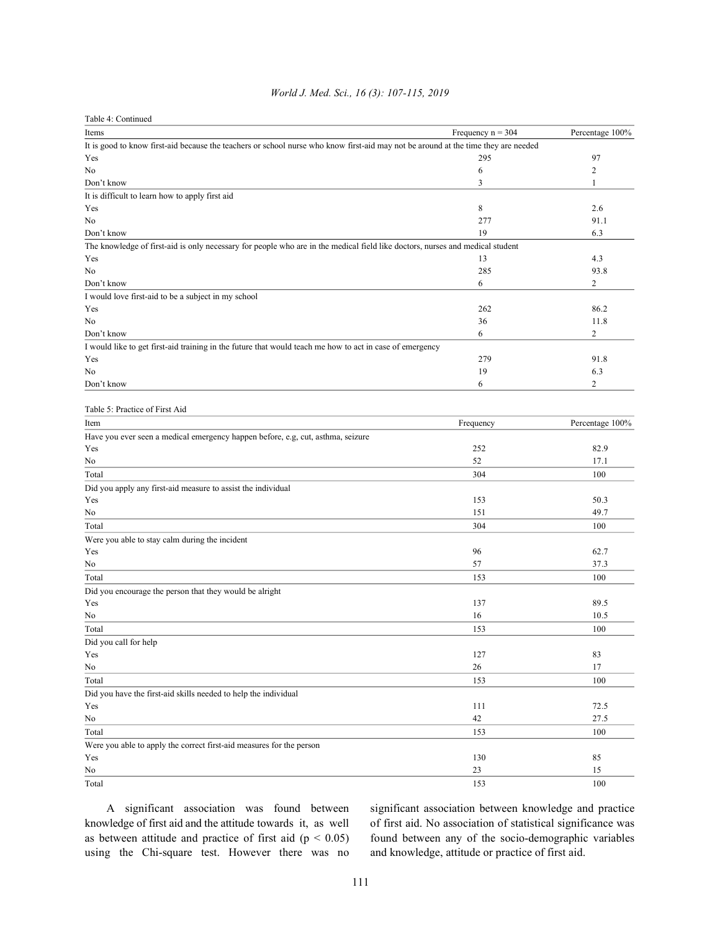| Table 4: Continued                                                                                                                 |                     |                 |
|------------------------------------------------------------------------------------------------------------------------------------|---------------------|-----------------|
| Items                                                                                                                              | Frequency $n = 304$ | Percentage 100% |
| It is good to know first-aid because the teachers or school nurse who know first-aid may not be around at the time they are needed |                     |                 |
| Yes                                                                                                                                | 295                 | 97              |
| No                                                                                                                                 | 6                   | $\overline{2}$  |
| Don't know                                                                                                                         | 3                   | 1               |
| It is difficult to learn how to apply first aid                                                                                    |                     |                 |
| Yes                                                                                                                                | 8                   | 2.6             |
| No                                                                                                                                 | 277                 | 91.1            |
| Don't know                                                                                                                         | 19                  | 6.3             |
| The knowledge of first-aid is only necessary for people who are in the medical field like doctors, nurses and medical student      |                     |                 |
| Yes                                                                                                                                | 13                  | 4.3             |
| No                                                                                                                                 | 285                 | 93.8            |
| Don't know                                                                                                                         | 6                   | $\overline{2}$  |
| I would love first-aid to be a subject in my school                                                                                |                     |                 |
| Yes                                                                                                                                | 262                 | 86.2            |
| No                                                                                                                                 | 36                  | 11.8            |
| Don't know                                                                                                                         | 6                   | 2               |
| I would like to get first-aid training in the future that would teach me how to act in case of emergency                           |                     |                 |
| Yes                                                                                                                                | 279                 | 91.8            |
| No                                                                                                                                 | 19                  | 6.3             |
| Don't know                                                                                                                         | 6                   | $\overline{c}$  |
|                                                                                                                                    |                     |                 |
| Table 5: Practice of First Aid                                                                                                     |                     |                 |
| Item                                                                                                                               | Frequency           | Percentage 100% |
| Have you ever seen a medical emergency happen before, e.g., cut, asthma, seizure                                                   |                     |                 |
| Yes                                                                                                                                | 252                 | 82.9            |
| No                                                                                                                                 | 52                  | 17.1            |
| Total                                                                                                                              | 304                 | 100             |
| Did you apply any first-aid measure to assist the individual                                                                       |                     |                 |
| Yes                                                                                                                                | 153                 | 50.3            |
| No                                                                                                                                 | 151                 | 49.7            |
| Total                                                                                                                              | 304                 | 100             |
| Were you able to stay calm during the incident                                                                                     |                     |                 |
| Yes                                                                                                                                | 96                  | 62.7            |
| No                                                                                                                                 | 57                  | 37.3            |
| Total                                                                                                                              | 153                 | 100             |
| Did you encourage the person that they would be alright                                                                            |                     |                 |
| Yes                                                                                                                                | 137                 | 89.5            |
| No                                                                                                                                 | 16                  | 10.5            |
| Total                                                                                                                              | 153                 | 100             |
| Did you call for help                                                                                                              |                     |                 |
| Yes                                                                                                                                | 127                 | 83              |
| No                                                                                                                                 | 26                  | 17              |
| Total                                                                                                                              | 153                 | 100             |
| Did you have the first-aid skills needed to help the individual                                                                    |                     |                 |
| Yes                                                                                                                                | 111                 | 72.5            |
| No                                                                                                                                 | 42                  | 27.5            |
| Total                                                                                                                              | 153                 | 100             |
|                                                                                                                                    |                     |                 |
| Were you able to apply the correct first-aid measures for the person<br>Yes                                                        | 130                 | 85              |
| No                                                                                                                                 | 23                  | 15              |
| Total                                                                                                                              |                     | 100             |
|                                                                                                                                    | 153                 |                 |

### *World J. Med. Sci., 16 (3): 107-115, 2019*

knowledge of first aid and the attitude towards it, as well of first aid. No association of statistical significance was as between attitude and practice of first aid  $(p < 0.05)$  found between any of the socio-demographic variables using the Chi-square test. However there was no and knowledge, attitude or practice of first aid.

A significant association was found between significant association between knowledge and practice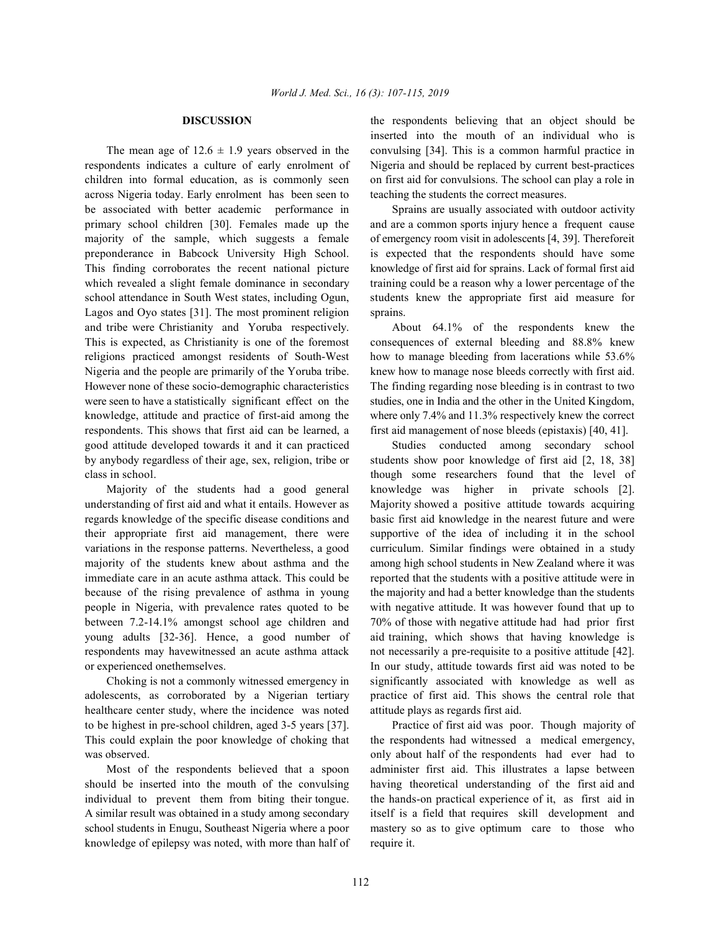respondents indicates a culture of early enrolment of Nigeria and should be replaced by current best-practices children into formal education, as is commonly seen on first aid for convulsions. The school can play a role in across Nigeria today. Early enrolment has been seen to teaching the students the correct measures. be associated with better academic performance in Sprains are usually associated with outdoor activity primary school children [30]. Females made up the and are a common sports injury hence a frequent cause majority of the sample, which suggests a female of emergency room visit in adolescents [4, 39]. Thereforeit preponderance in Babcock University High School. is expected that the respondents should have some This finding corroborates the recent national picture knowledge of first aid for sprains. Lack of formal first aid which revealed a slight female dominance in secondary training could be a reason why a lower percentage of the school attendance in South West states, including Ogun, students knew the appropriate first aid measure for Lagos and Oyo states [31]. The most prominent religion sprains. and tribe were Christianity and Yoruba respectively. About 64.1% of the respondents knew the This is expected, as Christianity is one of the foremost consequences of external bleeding and 88.8% knew religions practiced amongst residents of South-West how to manage bleeding from lacerations while 53.6% Nigeria and the people are primarily of the Yoruba tribe. knew how to manage nose bleeds correctly with first aid. However none of these socio-demographic characteristics The finding regarding nose bleeding is in contrast to two were seen to have a statistically significant effect on the studies, one in India and the other in the United Kingdom, knowledge, attitude and practice of first-aid among the where only 7.4% and 11.3% respectively knew the correct respondents. This shows that first aid can be learned, a first aid management of nose bleeds (epistaxis) [40, 41]. good attitude developed towards it and it can practiced Studies conducted among secondary school by anybody regardless of their age, sex, religion, tribe or students show poor knowledge of first aid [2, 18, 38] class in school. though some researchers found that the level of

understanding of first aid and what it entails. However as Majority showed a positive attitude towards acquiring regards knowledge of the specific disease conditions and basic first aid knowledge in the nearest future and were their appropriate first aid management, there were supportive of the idea of including it in the school variations in the response patterns. Nevertheless, a good curriculum. Similar findings were obtained in a study majority of the students knew about asthma and the among high school students in New Zealand where it was immediate care in an acute asthma attack. This could be reported that the students with a positive attitude were in because of the rising prevalence of asthma in young the majority and had a better knowledge than the students people in Nigeria, with prevalence rates quoted to be with negative attitude. It was however found that up to between 7.2-14.1% amongst school age children and 70% of those with negative attitude had had prior first young adults [32-36]. Hence, a good number of aid training, which shows that having knowledge is respondents may havewitnessed an acute asthma attack not necessarily a pre-requisite to a positive attitude [42]. or experienced onethemselves. In our study, attitude towards first aid was noted to be

adolescents, as corroborated by a Nigerian tertiary practice of first aid. This shows the central role that healthcare center study, where the incidence was noted attitude plays as regards first aid. to be highest in pre-school children, aged 3-5 years [37]. Practice of first aid was poor. Though majority of This could explain the poor knowledge of choking that the respondents had witnessed a medical emergency, was observed.  $\Box$  only about half of the respondents had ever had to

should be inserted into the mouth of the convulsing having theoretical understanding of the first aid and individual to prevent them from biting their tongue. the hands-on practical experience of it, as first aid in A similar result was obtained in a study among secondary itself is a field that requires skill development and school students in Enugu, Southeast Nigeria where a poor mastery so as to give optimum care to those who knowledge of epilepsy was noted, with more than half of require it.

**DISCUSSION** the respondents believing that an object should be The mean age of  $12.6 \pm 1.9$  years observed in the convulsing [34]. This is a common harmful practice in inserted into the mouth of an individual who is

Majority of the students had a good general knowledge was higher in private schools [2]. Choking is not a commonly witnessed emergency in significantly associated with knowledge as well as

Most of the respondents believed that a spoon administer first aid. This illustrates a lapse between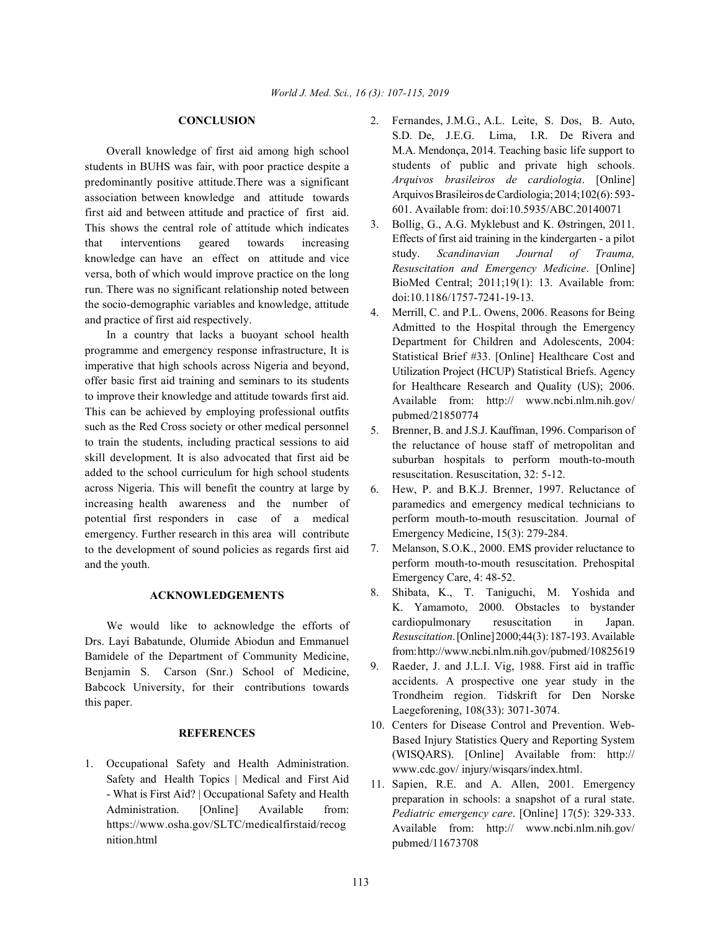Overall knowledge of first aid among high school students in BUHS was fair, with poor practice despite a predominantly positive attitude.There was a significant association between knowledge and attitude towards first aid and between attitude and practice of first aid. This shows the central role of attitude which indicates that interventions geared towards increasing knowledge can have an effect on attitude and vice versa, both of which would improve practice on the long run. There was no significant relationship noted between the socio-demographic variables and knowledge, attitude and practice of first aid respectively.

In a country that lacks a buoyant school health programme and emergency response infrastructure, It is imperative that high schools across Nigeria and beyond, offer basic first aid training and seminars to its students to improve their knowledge and attitude towards first aid. This can be achieved by employing professional outfits such as the Red Cross society or other medical personnel to train the students, including practical sessions to aid skill development. It is also advocated that first aid be added to the school curriculum for high school students across Nigeria. This will benefit the country at large by increasing health awareness and the number of potential first responders in case of a medical emergency. Further research in this area will contribute to the development of sound policies as regards first aid and the youth.

## **ACKNOWLEDGEMENTS**

We would like to acknowledge the efforts of Drs. Layi Babatunde, Olumide Abiodun and Emmanuel Bamidele of the Department of Community Medicine, Benjamin S. Carson (Snr.) School of Medicine, Babcock University, for their contributions towards this paper.

### **REFERENCES**

1. Occupational Safety and Health Administration. Safety and Health Topics | Medical and First Aid - What is First Aid? | Occupational Safety and Health Administration. [Online] Available from: https://www.osha.gov/SLTC/medicalfirstaid/recog nition.html

- **CONCLUSION** 2. Fernandes, J.M.G., A.L. Leite, S. Dos, B. Auto, S.D. De, J.E.G. Lima, I.R. De Rivera and M.A. Mendonça, 2014. Teaching basic life support to students of public and private high schools. *Arquivos brasileiros de cardiologia*. [Online] Arquivos Brasileiros de Cardiologia; 2014;102(6): 593- 601. Available from: doi:10.5935/ABC.20140071
	- 3. Bollig, G., A.G. Myklebust and K. Østringen, 2011. Effects of first aid training in the kindergarten - a pilot study. *Scandinavian Journal of Trauma, Resuscitation and Emergency Medicine*. [Online] BioMed Central; 2011;19(1): 13. Available from: doi:10.1186/1757-7241-19-13.
	- 4. Merrill, C. and P.L. Owens, 2006. Reasons for Being Admitted to the Hospital through the Emergency Department for Children and Adolescents, 2004: Statistical Brief #33. [Online] Healthcare Cost and Utilization Project (HCUP) Statistical Briefs. Agency for Healthcare Research and Quality (US); 2006. Available from: http:// www.ncbi.nlm.nih.gov/ pubmed/21850774
	- 5. Brenner, B. and J.S.J. Kauffman, 1996. Comparison of the reluctance of house staff of metropolitan and suburban hospitals to perform mouth-to-mouth resuscitation. Resuscitation, 32: 5-12.
	- 6. Hew, P. and B.K.J. Brenner, 1997. Reluctance of paramedics and emergency medical technicians to perform mouth-to-mouth resuscitation. Journal of Emergency Medicine, 15(3): 279-284.
	- 7. Melanson, S.O.K., 2000. EMS provider reluctance to perform mouth-to-mouth resuscitation. Prehospital Emergency Care, 4: 48-52.
	- 8. Shibata, K., T. Taniguchi, M. Yoshida and K. Yamamoto, 2000. Obstacles to bystander cardiopulmonary resuscitation in Japan. *Resuscitation*. [Online] 2000;44(3):187-193. Available from: http://www.ncbi.nlm.nih.gov/pubmed/10825619
	- 9. Raeder, J. and J.L.I. Vig, 1988. First aid in traffic accidents. A prospective one year study in the Trondheim region. Tidskrift for Den Norske Laegeforening, 108(33): 3071-3074.
	- 10. Centers for Disease Control and Prevention. Web-Based Injury Statistics Query and Reporting System (WISQARS). [Online] Available from: http:// www.cdc.gov/ injury/wisqars/index.html.
	- 11. Sapien, R.E. and A. Allen, 2001. Emergency preparation in schools: a snapshot of a rural state. *Pediatric emergency care*. [Online] 17(5): 329-333. Available from: http:// www.ncbi.nlm.nih.gov/ pubmed/11673708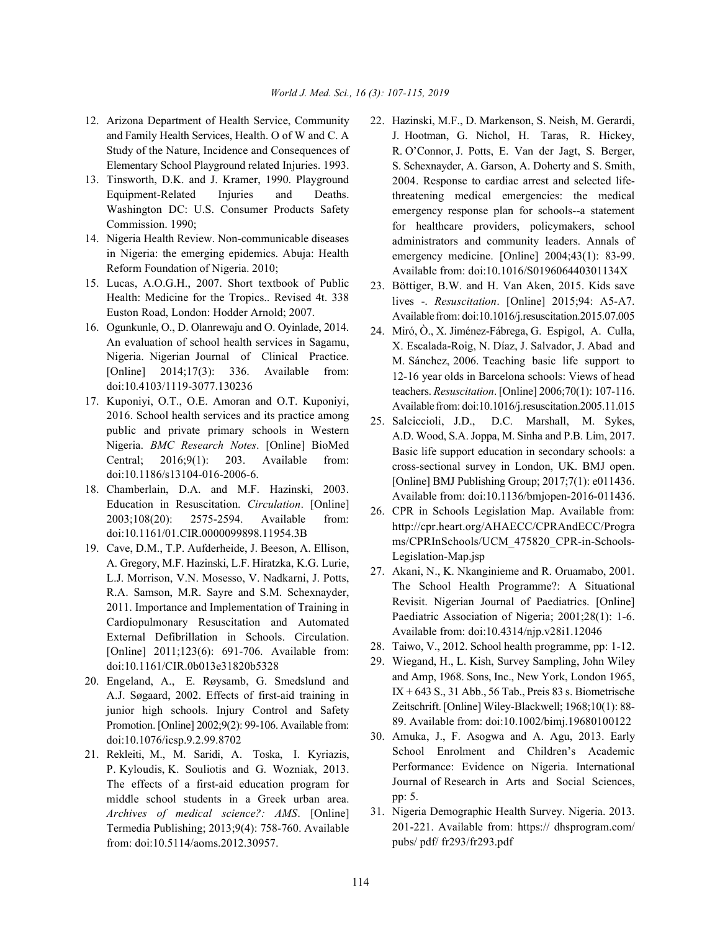- and Family Health Services, Health. O of W and C. A Study of the Nature, Incidence and Consequences of Elementary School Playground related Injuries. 1993.
- 13. Tinsworth, D.K. and J. Kramer, 1990. Playground Equipment-Related Injuries and Deaths. Washington DC: U.S. Consumer Products Safety Commission. 1990;
- 14. Nigeria Health Review. Non-communicable diseases in Nigeria: the emerging epidemics. Abuja: Health Reform Foundation of Nigeria. 2010;
- 15. Lucas, A.O.G.H., 2007. Short textbook of Public Health: Medicine for the Tropics.. Revised 4t. 338 Euston Road, London: Hodder Arnold; 2007.
- 16. Ogunkunle, O., D. Olanrewaju and O. Oyinlade, 2014. An evaluation of school health services in Sagamu, Nigeria. Nigerian Journal of Clinical Practice. [Online] 2014;17(3): 336. Available from: doi:10.4103/1119-3077.130236
- 17. Kuponiyi, O.T., O.E. Amoran and O.T. Kuponiyi, 2016. School health services and its practice among public and private primary schools in Western Nigeria. *BMC Research Notes*. [Online] BioMed Central; 2016;9(1): 203. Available from: doi:10.1186/s13104-016-2006-6.
- 18. Chamberlain, D.A. and M.F. Hazinski, 2003. Education in Resuscitation. *Circulation*. [Online] 2003;108(20): 2575-2594. Available from: doi:10.1161/01.CIR.0000099898.11954.3B
- 19. Cave, D.M., T.P. Aufderheide, J. Beeson, A. Ellison, A. Gregory, M.F. Hazinski, L.F. Hiratzka, K.G. Lurie, L.J. Morrison, V.N. Mosesso, V. Nadkarni, J. Potts, R.A. Samson, M.R. Sayre and S.M. Schexnayder, 2011. Importance and Implementation of Training in Cardiopulmonary Resuscitation and Automated External Defibrillation in Schools. Circulation. [Online] 2011;123(6): 691-706. Available from: doi:10.1161/CIR.0b013e31820b5328
- 20. Engeland, A., E. Røysamb, G. Smedslund and A.J. Søgaard, 2002. Effects of first-aid training in junior high schools. Injury Control and Safety Promotion. [Online] 2002;9(2): 99-106. Available from: doi:10.1076/icsp.9.2.99.8702
- 21. Rekleiti, M., M. Saridi, A. Toska, I. Kyriazis, P. Kyloudis, K. Souliotis and G. Wozniak, 2013. The effects of a first-aid education program for middle school students in a Greek urban area. *Archives of medical science?: AMS*. [Online] Termedia Publishing; 2013;9(4): 758-760. Available from: doi:10.5114/aoms.2012.30957.
- 12. Arizona Department of Health Service, Community 22. Hazinski, M.F., D. Markenson, S. Neish, M. Gerardi, J. Hootman, G. Nichol, H. Taras, R. Hickey, R. O'Connor, J. Potts, E. Van der Jagt, S. Berger, S. Schexnayder, A. Garson, A. Doherty and S. Smith, 2004. Response to cardiac arrest and selected lifethreatening medical emergencies: the medical emergency response plan for schools--a statement for healthcare providers, policymakers, school administrators and community leaders. Annals of emergency medicine. [Online] 2004;43(1): 83-99. Available from: doi:10.1016/S019606440301134X
	- 23. Böttiger, B.W. and H. Van Aken, 2015. Kids save lives -. *Resuscitation*. [Online] 2015;94: A5-A7. Available from: doi:10.1016/j.resuscitation.2015.07.005
	- 24. Miró, Ò., X. Jiménez-Fábrega, G. Espigol, A. Culla, X. Escalada-Roig, N. Díaz, J. Salvador, J. Abad and M. Sánchez, 2006. Teaching basic life support to 12-16 year olds in Barcelona schools: Views of head teachers. *Resuscitation*. [Online] 2006;70(1): 107-116. Availablefrom: doi:10.1016/j.resuscitation.2005.11.015
	- 25. Salciccioli, J.D., D.C. Marshall, M. Sykes, A.D. Wood, S.A. Joppa, M. Sinha and P.B. Lim, 2017. Basic life support education in secondary schools: a cross-sectional survey in London, UK. BMJ open. [Online] BMJ Publishing Group; 2017;7(1): e011436. Available from: doi:10.1136/bmjopen-2016-011436.
	- 26. CPR in Schools Legislation Map. Available from: http://cpr.heart.org/AHAECC/CPRAndECC/Progra ms/CPRInSchools/UCM\_475820\_CPR-in-Schools-Legislation-Map.jsp
	- 27. Akani, N., K. Nkanginieme and R. Oruamabo, 2001. The School Health Programme?: A Situational Revisit. Nigerian Journal of Paediatrics. [Online] Paediatric Association of Nigeria; 2001;28(1): 1-6. Available from: doi:10.4314/njp.v28i1.12046
	- 28. Taiwo, V., 2012. School health programme, pp: 1-12.
	- 29. Wiegand, H., L. Kish, Survey Sampling, John Wiley and Amp, 1968. Sons, Inc., New York, London 1965, IX + 643 S., 31 Abb., 56 Tab., Preis 83 s. Biometrische Zeitschrift. [Online] Wiley-Blackwell; 1968;10(1): 88- 89. Available from: doi:10.1002/bimj.19680100122
	- 30. Amuka, J., F. Asogwa and A. Agu, 2013. Early School Enrolment and Children's Academic Performance: Evidence on Nigeria. International Journal of Research in Arts and Social Sciences, pp: 5.
	- 31. Nigeria Demographic Health Survey. Nigeria. 2013. 201-221. Available from: https:// dhsprogram.com/ pubs/ pdf/ fr293/fr293.pdf